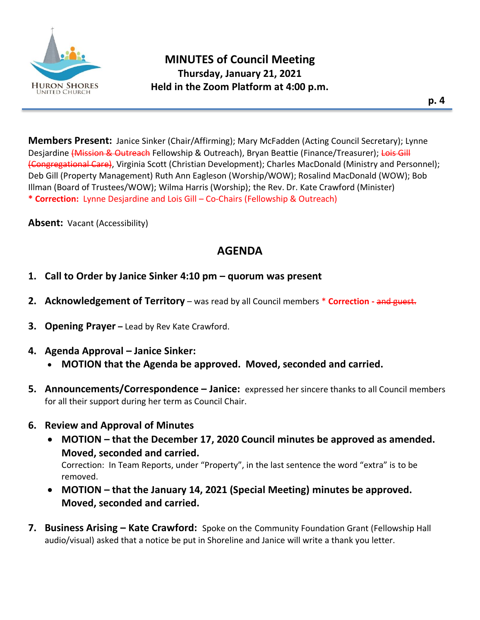

**Members Present:** Janice Sinker (Chair/Affirming); Mary McFadden (Acting Council Secretary); Lynne Desjardine (Mission & Outreach Fellowship & Outreach), Bryan Beattie (Finance/Treasurer); Lois Gill (Congregational Care), Virginia Scott (Christian Development); Charles MacDonald (Ministry and Personnel); Deb Gill (Property Management) Ruth Ann Eagleson (Worship/WOW); Rosalind MacDonald (WOW); Bob Illman (Board of Trustees/WOW); Wilma Harris (Worship); the Rev. Dr. Kate Crawford (Minister) **\* Correction:** Lynne Desjardine and Lois Gill – Co-Chairs (Fellowship & Outreach)

**Absent:** Vacant (Accessibility)

# **AGENDA**

- **1. Call to Order by Janice Sinker 4:10 pm – quorum was present**
- **2. Acknowledgement of Territory** was read by all Council members \* **Correction -** and guest.
- **3. Opening Prayer –** Lead by Rev Kate Crawford.
- **4. Agenda Approval – Janice Sinker:**
	- **MOTION that the Agenda be approved. Moved, seconded and carried.**
- **5. Announcements/Correspondence – Janice:** expressed her sincere thanks to all Council members for all their support during her term as Council Chair.
- **6. Review and Approval of Minutes**
	- **MOTION – that the December 17, 2020 Council minutes be approved as amended. Moved, seconded and carried.**  Correction: In Team Reports, under "Property", in the last sentence the word "extra" is to be

removed.

- **MOTION – that the January 14, 2021 (Special Meeting) minutes be approved. Moved, seconded and carried.**
- **7. Business Arising – Kate Crawford:** Spoke on the Community Foundation Grant (Fellowship Hall audio/visual) asked that a notice be put in Shoreline and Janice will write a thank you letter.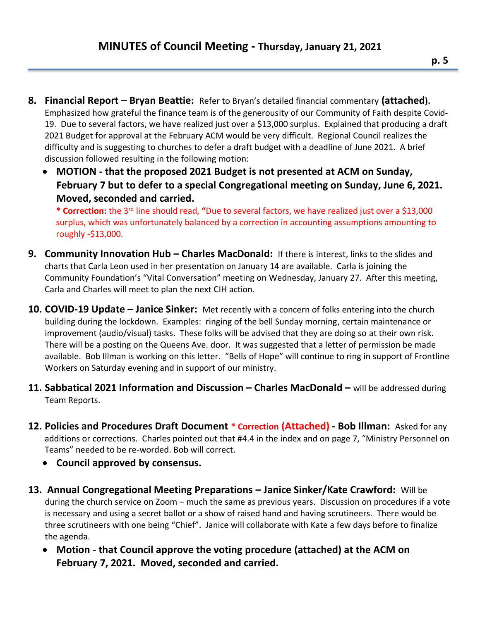- **8. Financial Report – Bryan Beattie:** Refer to Bryan's detailed financial commentary **(attached).**  Emphasized how grateful the finance team is of the generousity of our Community of Faith despite Covid-19. Due to several factors, we have realized just over a \$13,000 surplus. Explained that producing a draft 2021 Budget for approval at the February ACM would be very difficult. Regional Council realizes the difficulty and is suggesting to churches to defer a draft budget with a deadline of June 2021. A brief discussion followed resulting in the following motion:
	- **MOTION - that the proposed 2021 Budget is not presented at ACM on Sunday, February 7 but to defer to a special Congregational meeting on Sunday, June 6, 2021. Moved, seconded and carried.**

**\* Correction:** the 3rd line should read, **"**Due to several factors, we have realized just over a \$13,000 surplus, which was unfortunately balanced by a correction in accounting assumptions amounting to roughly -\$13,000.

- **9. Community Innovation Hub – Charles MacDonald:** If there is interest, links to the slides and charts that Carla Leon used in her presentation on January 14 are available. Carla is joining the Community Foundation's "Vital Conversation" meeting on Wednesday, January 27. After this meeting, Carla and Charles will meet to plan the next CIH action.
- **10. COVID-19 Update – Janice Sinker:** Met recently with a concern of folks entering into the church building during the lockdown. Examples: ringing of the bell Sunday morning, certain maintenance or improvement (audio/visual) tasks. These folks will be advised that they are doing so at their own risk. There will be a posting on the Queens Ave. door. It was suggested that a letter of permission be made available. Bob Illman is working on this letter. "Bells of Hope" will continue to ring in support of Frontline Workers on Saturday evening and in support of our ministry.
- **11. Sabbatical 2021 Information and Discussion – Charles MacDonald –** will be addressed during Team Reports.
- **12. Policies and Procedures Draft Document \* Correction (Attached) - Bob Illman:** Asked for any additions or corrections. Charles pointed out that #4.4 in the index and on page 7, "Ministry Personnel on Teams" needed to be re-worded. Bob will correct.
	- **Council approved by consensus.**
- **13. Annual Congregational Meeting Preparations – Janice Sinker/Kate Crawford:** Will be during the church service on Zoom – much the same as previous years. Discussion on procedures if a vote is necessary and using a secret ballot or a show of raised hand and having scrutineers. There would be three scrutineers with one being "Chief". Janice will collaborate with Kate a few days before to finalize the agenda.
	- **Motion - that Council approve the voting procedure (attached) at the ACM on February 7, 2021. Moved, seconded and carried.**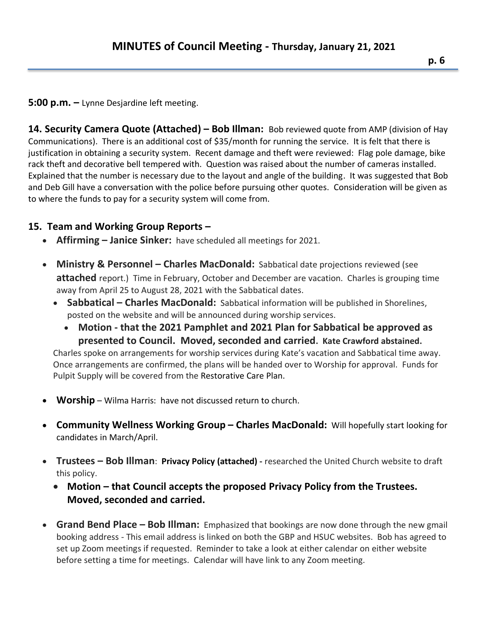#### **5:00 p.m. –** Lynne Desjardine left meeting.

**14. Security Camera Quote (Attached) – Bob Illman:** Bob reviewed quote from AMP (division of Hay Communications). There is an additional cost of \$35/month for running the service. It is felt that there is justification in obtaining a security system. Recent damage and theft were reviewed: Flag pole damage, bike rack theft and decorative bell tempered with. Question was raised about the number of cameras installed. Explained that the number is necessary due to the layout and angle of the building. It was suggested that Bob and Deb Gill have a conversation with the police before pursuing other quotes. Consideration will be given as to where the funds to pay for a security system will come from.

### **15. Team and Working Group Reports –**

- **Affirming – Janice Sinker:** have scheduled all meetings for 2021.
- **Ministry & Personnel Charles MacDonald:** Sabbatical date projections reviewed (see **attached** report.) Time in February, October and December are vacation. Charles is grouping time away from April 25 to August 28, 2021 with the Sabbatical dates.
	- Sabbatical Charles MacDonald: Sabbatical information will be published in Shorelines, posted on the website and will be announced during worship services.
		- **Motion - that the 2021 Pamphlet and 2021 Plan for Sabbatical be approved as presented to Council. Moved, seconded and carried. Kate Crawford abstained.**

Charles spoke on arrangements for worship services during Kate's vacation and Sabbatical time away. Once arrangements are confirmed, the plans will be handed over to Worship for approval. Funds for Pulpit Supply will be covered from the Restorative Care Plan.

- **Worship** Wilma Harris: have not discussed return to church.
- **Community Wellness Working Group – Charles MacDonald:** Will hopefully start looking for candidates in March/April.
- **Trustees – Bob Illman**: **Privacy Policy (attached) -** researched the United Church website to draft this policy.
	- **Motion – that Council accepts the proposed Privacy Policy from the Trustees. Moved, seconded and carried.**
- **Grand Bend Place – Bob Illman:** Emphasized that bookings are now done through the new gmail booking address - This email address is linked on both the GBP and HSUC websites. Bob has agreed to set up Zoom meetings if requested. Reminder to take a look at either calendar on either website before setting a time for meetings. Calendar will have link to any Zoom meeting.